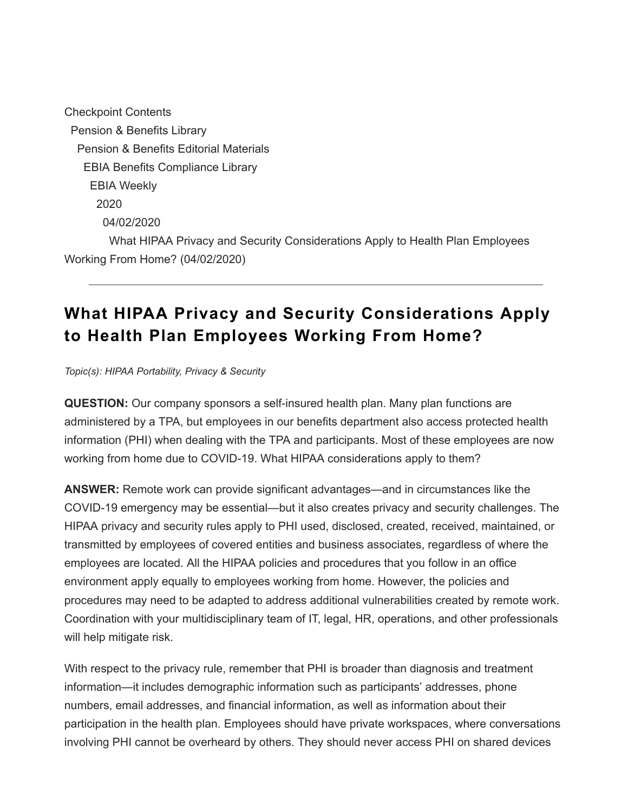Checkpoint Contents Pension & Benefits Library Pension & Benefits Editorial Materials EBIA Benefits Compliance Library EBIA Weekly 2020 04/02/2020 What HIPAA Privacy and Security Considerations Apply to Health Plan Employees Working From Home? (04/02/2020)

## **What HIPAA Privacy and Security Considerations Apply to Health Plan Employees Working From Home?**

*Topic(s): HIPAA Portability, Privacy & Security*

**QUESTION:** Our company sponsors a self-insured health plan. Many plan functions are administered by a TPA, but employees in our benefits department also access protected health information (PHI) when dealing with the TPA and participants. Most of these employees are now working from home due to COVID-19. What HIPAA considerations apply to them?

**ANSWER:** Remote work can provide significant advantages—and in circumstances like the COVID-19 emergency may be essential—but it also creates privacy and security challenges. The HIPAA privacy and security rules apply to PHI used, disclosed, created, received, maintained, or transmitted by employees of covered entities and business associates, regardless of where the employees are located. All the HIPAA policies and procedures that you follow in an office environment apply equally to employees working from home. However, the policies and procedures may need to be adapted to address additional vulnerabilities created by remote work. Coordination with your multidisciplinary team of IT, legal, HR, operations, and other professionals will help mitigate risk.

With respect to the privacy rule, remember that PHI is broader than diagnosis and treatment information—it includes demographic information such as participants' addresses, phone numbers, email addresses, and financial information, as well as information about their participation in the health plan. Employees should have private workspaces, where conversations involving PHI cannot be overheard by others. They should never access PHI on shared devices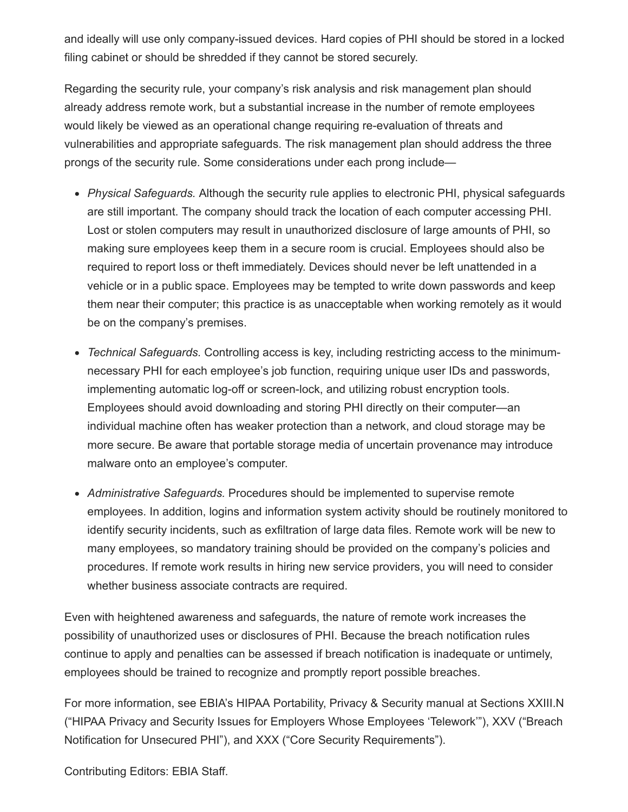and ideally will use only company-issued devices. Hard copies of PHI should be stored in a locked filing cabinet or should be shredded if they cannot be stored securely.

Regarding the security rule, your company's risk analysis and risk management plan should already address remote work, but a substantial increase in the number of remote employees would likely be viewed as an operational change requiring re-evaluation of threats and vulnerabilities and appropriate safeguards. The risk management plan should address the three prongs of the security rule. Some considerations under each prong include—

- *Physical Safeguards.* Although the security rule applies to electronic PHI, physical safeguards are still important. The company should track the location of each computer accessing PHI. Lost or stolen computers may result in unauthorized disclosure of large amounts of PHI, so making sure employees keep them in a secure room is crucial. Employees should also be required to report loss or theft immediately. Devices should never be left unattended in a vehicle or in a public space. Employees may be tempted to write down passwords and keep them near their computer; this practice is as unacceptable when working remotely as it would be on the company's premises.
- *Technical Safeguards.* Controlling access is key, including restricting access to the minimumnecessary PHI for each employee's job function, requiring unique user IDs and passwords, implementing automatic log-off or screen-lock, and utilizing robust encryption tools. Employees should avoid downloading and storing PHI directly on their computer—an individual machine often has weaker protection than a network, and cloud storage may be more secure. Be aware that portable storage media of uncertain provenance may introduce malware onto an employee's computer.
- *Administrative Safeguards.* Procedures should be implemented to supervise remote employees. In addition, logins and information system activity should be routinely monitored to identify security incidents, such as exfiltration of large data files. Remote work will be new to many employees, so mandatory training should be provided on the company's policies and procedures. If remote work results in hiring new service providers, you will need to consider whether business associate contracts are required.

Even with heightened awareness and safeguards, the nature of remote work increases the possibility of unauthorized uses or disclosures of PHI. Because the breach notification rules continue to apply and penalties can be assessed if breach notification is inadequate or untimely, employees should be trained to recognize and promptly report possible breaches.

For more information, see EBIA's HIPAA Portability, Privacy & Security manual at Sections XXIII.N ("HIPAA Privacy and Security Issues for Employers Whose Employees 'Telework'"), XXV ("Breach Notification for Unsecured PHI"), and XXX ("Core Security Requirements").

Contributing Editors: EBIA Staff.